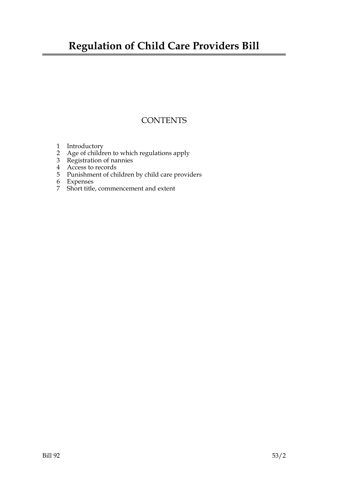## **Regulation of Child Care Providers Bill**

### **CONTENTS**

- 1 Introductory
- 2 Age of children to which regulations apply
- 3 Registration of nannies
- 4 Access to records
- 5 Punishment of children by child care providers
- 6 Expenses
- 7 Short title, commencement and extent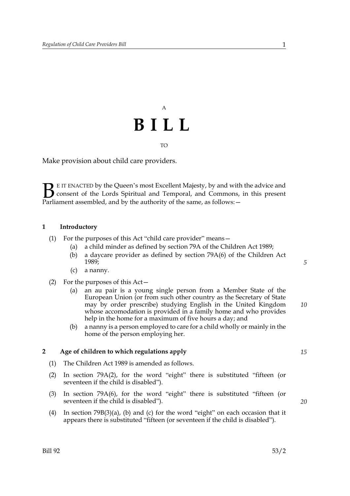# A **BILL** TO

Make provision about child care providers.

E IT ENACTED by the Queen's most Excellent Majesty, by and with the advice and consent of the Lords Spiritual and Temporal, and Commons, in this present **B** E IT ENACTED by the Queen's most Excellent Majesty, by and with consent of the Lords Spiritual and Temporal, and Commons, Parliament assembled, and by the authority of the same, as follows:  $-$ 

#### **1 Introductory**

- (1) For the purposes of this Act "child care provider" means—
	- (a) a child minder as defined by section 79A of the Children Act 1989;
	- (b) a daycare provider as defined by section 79A(6) of the Children Act 1989;
	- (c) a nanny.
- (2) For the purposes of this Act—
	- (a) an au pair is a young single person from a Member State of the European Union (or from such other country as the Secretary of State may by order prescribe) studying English in the United Kingdom whose accomodation is provided in a family home and who provides help in the home for a maximum of five hours a day; and *10*
	- (b) a nanny is a person employed to care for a child wholly or mainly in the home of the person employing her.

#### **2 Age of children to which regulations apply**

- (1) The Children Act 1989 is amended as follows.
- (2) In section 79A(2), for the word "eight" there is substituted "fifteen (or seventeen if the child is disabled").
- (3) In section 79A(6), for the word "eight" there is substituted "fifteen (or seventeen if the child is disabled").
- (4) In section 79B(3)(a), (b) and (c) for the word "eight" on each occasion that it appears there is substituted "fifteen (or seventeen if the child is disabled").

*20*

*5*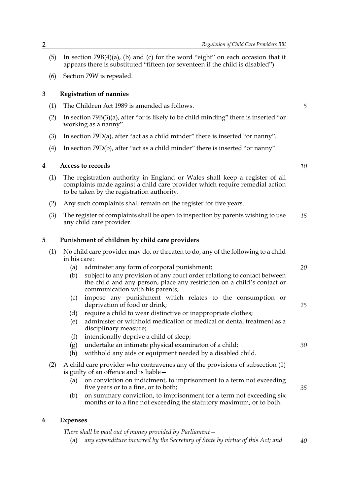- (5) In section  $79B(4)(a)$ , (b) and (c) for the word "eight" on each occasion that it appears there is substituted "fifteen (or seventeen if the child is disabled")
- (6) Section 79W is repealed.

#### **3 Registration of nannies**

- (1) The Children Act 1989 is amended as follows.
- (2) In section  $79B(3)(a)$ , after "or is likely to be child minding" there is inserted "or working as a nanny".
- (3) In section 79D(a), after "act as a child minder" there is inserted "or nanny".
- (4) In section 79D(b), after "act as a child minder" there is inserted "or nanny".

#### **4 Access to records**

- (1) The registration authority in England or Wales shall keep a register of all complaints made against a child care provider which require remedial action to be taken by the registration authority.
- (2) Any such complaints shall remain on the register for five years.
- (3) The register of complaints shall be open to inspection by parents wishing to use any child care provider. *15*

#### **5 Punishment of children by child care providers**

- (1) No child care provider may do, or threaten to do, any of the following to a child in his care:
	- (a) adminster any form of corporal punishment;
	- (b) subject to any provision of any court order relationg to contact between the child and any person, place any restriction on a child's contact or communication with his parents;
	- (c) impose any punishment which relates to the consumption or deprivation of food or drink;
	- (d) require a child to wear distinctive or inappropriate clothes;
	- (e) administer or withhold medication or medical or dental treatment as a disciplinary measure;
	- (f) intentionally deprive a child of sleep;
	- (g) undertake an intimate physical examinaton of a child;
	- (h) withhold any aids or equipment needed by a disabled child.
- (2) A child care provider who contravenes any of the provisions of subsection (1) is guilty of an offence and is liable—
	- (a) on conviction on indictment, to imprisonment to a term not exceeding five years or to a fine, or to both;
	- (b) on summary conviction, to imprisonment for a term not exceeding six months or to a fine not exceeding the statutory maximum, or to both.

#### **6 Expenses**

*There shall be paid out of money provided by Parliament—*

(a) *any expenditure incurred by the Secretary of State by virtue of this Act; and 40*

*5*

*10*

*25*

*20*

*30*

*35*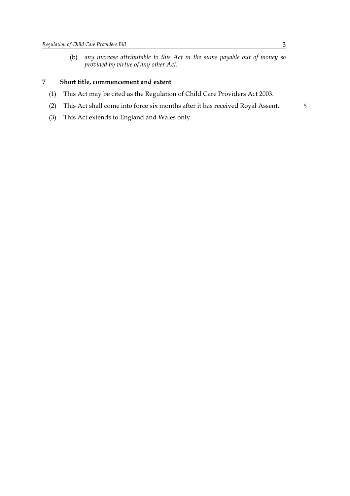(b) *any increase attributable to this Act in the sums payable out of money so provided by virtue of any other Act.*

#### **7 Short title, commencement and extent**

- (1) This Act may be cited as the Regulation of Child Care Providers Act 2003.
- (2) This Act shall come into force six months after it has received Royal Assent.
- (3) This Act extends to England and Wales only.

*5*